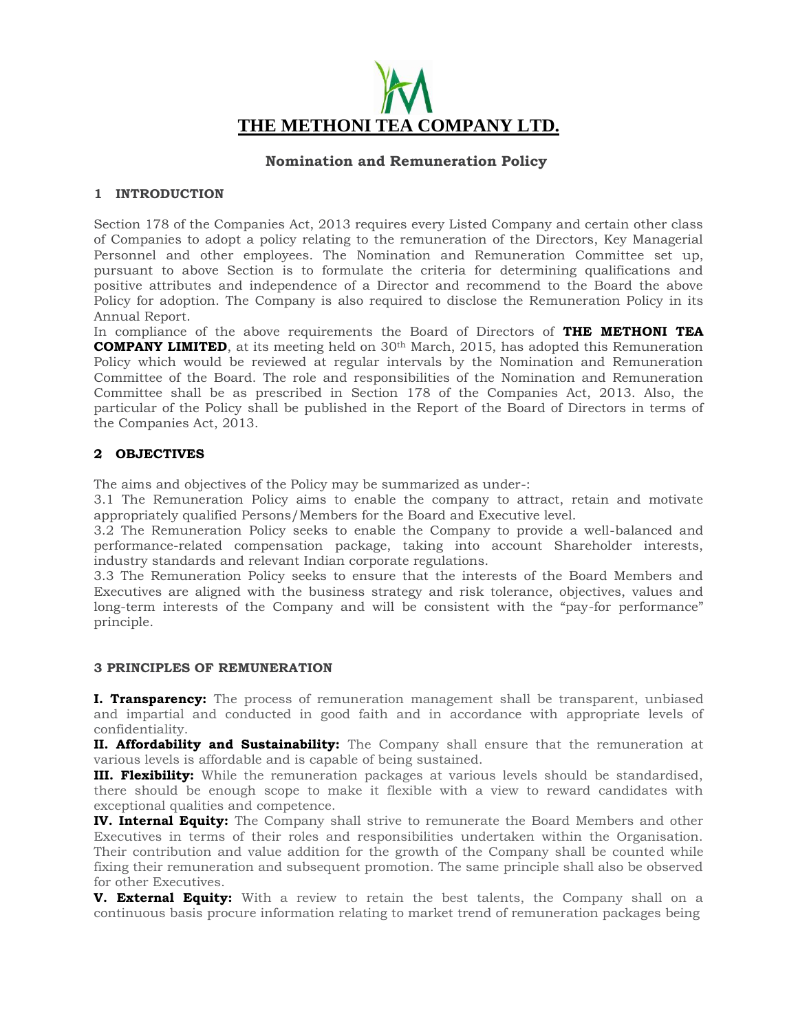

# **Nomination and Remuneration Policy**

## **1 INTRODUCTION**

Section 178 of the Companies Act, 2013 requires every Listed Company and certain other class of Companies to adopt a policy relating to the remuneration of the Directors, Key Managerial Personnel and other employees. The Nomination and Remuneration Committee set up, pursuant to above Section is to formulate the criteria for determining qualifications and positive attributes and independence of a Director and recommend to the Board the above Policy for adoption. The Company is also required to disclose the Remuneration Policy in its Annual Report.

In compliance of the above requirements the Board of Directors of **THE METHONI TEA COMPANY LIMITED**, at its meeting held on 30<sup>th</sup> March, 2015, has adopted this Remuneration Policy which would be reviewed at regular intervals by the Nomination and Remuneration Committee of the Board. The role and responsibilities of the Nomination and Remuneration Committee shall be as prescribed in Section 178 of the Companies Act, 2013. Also, the particular of the Policy shall be published in the Report of the Board of Directors in terms of the Companies Act, 2013.

# **2 OBJECTIVES**

The aims and objectives of the Policy may be summarized as under-:

3.1 The Remuneration Policy aims to enable the company to attract, retain and motivate appropriately qualified Persons/Members for the Board and Executive level.

3.2 The Remuneration Policy seeks to enable the Company to provide a well-balanced and performance-related compensation package, taking into account Shareholder interests, industry standards and relevant Indian corporate regulations.

3.3 The Remuneration Policy seeks to ensure that the interests of the Board Members and Executives are aligned with the business strategy and risk tolerance, objectives, values and long-term interests of the Company and will be consistent with the "pay-for performance" principle.

### **3 PRINCIPLES OF REMUNERATION**

**I. Transparency:** The process of remuneration management shall be transparent, unbiased and impartial and conducted in good faith and in accordance with appropriate levels of confidentiality.

**II. Affordability and Sustainability:** The Company shall ensure that the remuneration at various levels is affordable and is capable of being sustained.

**III. Flexibility:** While the remuneration packages at various levels should be standardised, there should be enough scope to make it flexible with a view to reward candidates with exceptional qualities and competence.

**IV. Internal Equity:** The Company shall strive to remunerate the Board Members and other Executives in terms of their roles and responsibilities undertaken within the Organisation. Their contribution and value addition for the growth of the Company shall be counted while fixing their remuneration and subsequent promotion. The same principle shall also be observed for other Executives.

**V. External Equity:** With a review to retain the best talents, the Company shall on a continuous basis procure information relating to market trend of remuneration packages being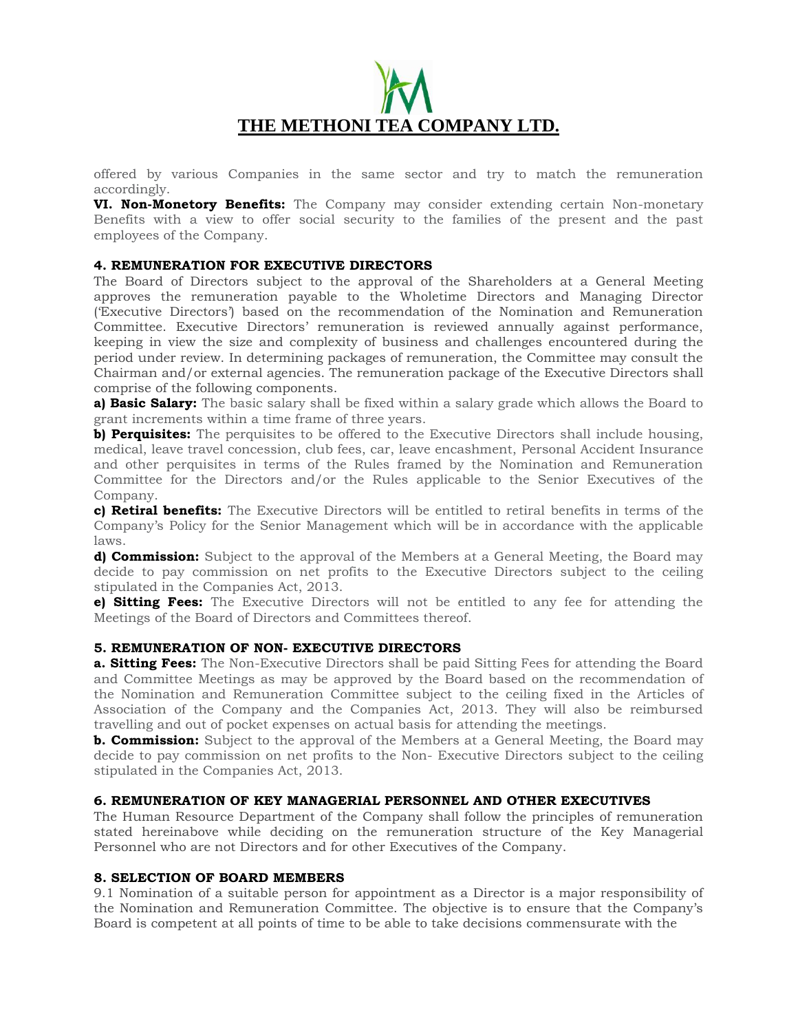

offered by various Companies in the same sector and try to match the remuneration accordingly.

**VI. Non-Monetory Benefits:** The Company may consider extending certain Non-monetary Benefits with a view to offer social security to the families of the present and the past employees of the Company.

### **4. REMUNERATION FOR EXECUTIVE DIRECTORS**

The Board of Directors subject to the approval of the Shareholders at a General Meeting approves the remuneration payable to the Wholetime Directors and Managing Director ('Executive Directors') based on the recommendation of the Nomination and Remuneration Committee. Executive Directors' remuneration is reviewed annually against performance, keeping in view the size and complexity of business and challenges encountered during the period under review. In determining packages of remuneration, the Committee may consult the Chairman and/or external agencies. The remuneration package of the Executive Directors shall comprise of the following components.

**a) Basic Salary:** The basic salary shall be fixed within a salary grade which allows the Board to grant increments within a time frame of three years.

**b) Perquisites:** The perquisites to be offered to the Executive Directors shall include housing, medical, leave travel concession, club fees, car, leave encashment, Personal Accident Insurance and other perquisites in terms of the Rules framed by the Nomination and Remuneration Committee for the Directors and/or the Rules applicable to the Senior Executives of the Company.

**c) Retiral benefits:** The Executive Directors will be entitled to retiral benefits in terms of the Company's Policy for the Senior Management which will be in accordance with the applicable laws.

**d) Commission:** Subject to the approval of the Members at a General Meeting, the Board may decide to pay commission on net profits to the Executive Directors subject to the ceiling stipulated in the Companies Act, 2013.

**e) Sitting Fees:** The Executive Directors will not be entitled to any fee for attending the Meetings of the Board of Directors and Committees thereof.

### **5. REMUNERATION OF NON- EXECUTIVE DIRECTORS**

**a. Sitting Fees:** The Non-Executive Directors shall be paid Sitting Fees for attending the Board and Committee Meetings as may be approved by the Board based on the recommendation of the Nomination and Remuneration Committee subject to the ceiling fixed in the Articles of Association of the Company and the Companies Act, 2013. They will also be reimbursed travelling and out of pocket expenses on actual basis for attending the meetings.

**b. Commission:** Subject to the approval of the Members at a General Meeting, the Board may decide to pay commission on net profits to the Non- Executive Directors subject to the ceiling stipulated in the Companies Act, 2013.

### **6. REMUNERATION OF KEY MANAGERIAL PERSONNEL AND OTHER EXECUTIVES**

The Human Resource Department of the Company shall follow the principles of remuneration stated hereinabove while deciding on the remuneration structure of the Key Managerial Personnel who are not Directors and for other Executives of the Company.

### **8. SELECTION OF BOARD MEMBERS**

9.1 Nomination of a suitable person for appointment as a Director is a major responsibility of the Nomination and Remuneration Committee. The objective is to ensure that the Company's Board is competent at all points of time to be able to take decisions commensurate with the